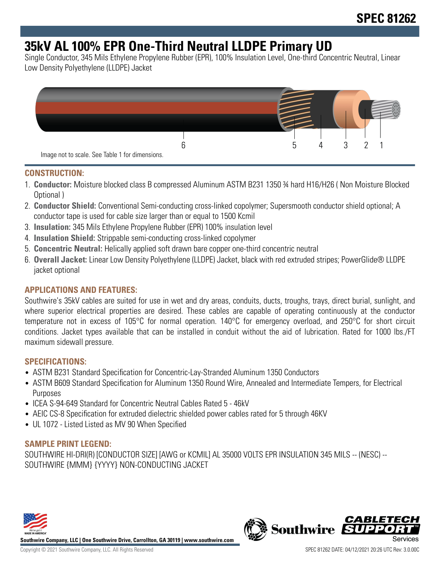# **35kV AL 100% EPR One-Third Neutral LLDPE Primary UD**

Single Conductor, 345 Mils Ethylene Propylene Rubber (EPR), 100% Insulation Level, One-third Concentric Neutral, Linear Low Density Polyethylene (LLDPE) Jacket



#### **CONSTRUCTION:**

- 1. **Conductor:** Moisture blocked class B compressed Aluminum ASTM B231 1350 ¾ hard H16/H26 ( Non Moisture Blocked Optional )
- 2. **Conductor Shield:** Conventional Semi-conducting cross-linked copolymer; Supersmooth conductor shield optional; A conductor tape is used for cable size larger than or equal to 1500 Kcmil
- 3. **Insulation:** 345 Mils Ethylene Propylene Rubber (EPR) 100% insulation level
- 4. **Insulation Shield:** Strippable semi-conducting cross-linked copolymer
- 5. **Concentric Neutral:** Helically applied soft drawn bare copper one-third concentric neutral
- 6. **Overall Jacket:** Linear Low Density Polyethylene (LLDPE) Jacket, black with red extruded stripes; PowerGlide® LLDPE jacket optional

## **APPLICATIONS AND FEATURES:**

Southwire's 35kV cables are suited for use in wet and dry areas, conduits, ducts, troughs, trays, direct burial, sunlight, and where superior electrical properties are desired. These cables are capable of operating continuously at the conductor temperature not in excess of 105°C for normal operation. 140°C for emergency overload, and 250°C for short circuit conditions. Jacket types available that can be installed in conduit without the aid of lubrication. Rated for 1000 lbs./FT maximum sidewall pressure.

#### **SPECIFICATIONS:**

- ASTM B231 Standard Specification for Concentric-Lay-Stranded Aluminum 1350 Conductors
- ASTM B609 Standard Specification for Aluminum 1350 Round Wire, Annealed and Intermediate Tempers, for Electrical Purposes
- ICEA S-94-649 Standard for Concentric Neutral Cables Rated 5 46kV
- AEIC CS-8 Specification for extruded dielectric shielded power cables rated for 5 through 46KV
- UL 1072 Listed Listed as MV 90 When Specified

## **SAMPLE PRINT LEGEND:**

SOUTHWIRE HI-DRI(R) [CONDUCTOR SIZE] [AWG or KCMIL] AL 35000 VOLTS EPR INSULATION 345 MILS -- (NESC) -- SOUTHWIRE {MMM} {YYYY} NON-CONDUCTING JACKET



**Southwire Company, LLC | One Southwire Drive, Carrollton, GA 30119 | www.southwire.com**

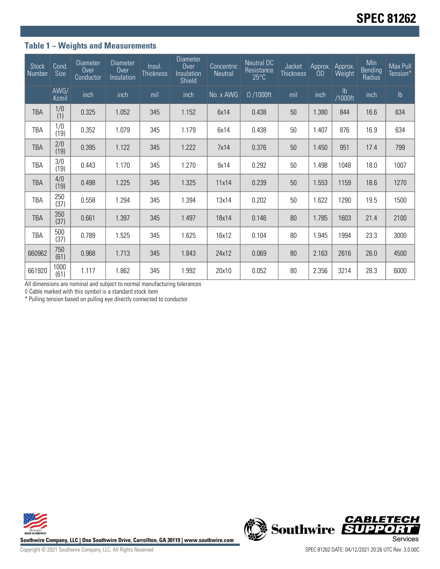## **Table 1 – Weights and Measurements**

| <b>Stock</b><br>Number | Cond.<br>Size | <b>Diameter</b><br>Over<br>Conductor | <b>Diameter</b><br>Over<br>Insulation | Insul.<br><b>Thickness</b> | <b>Diameter</b><br>Over<br>Insulation<br>Shield | Concentric<br>Neutral | <b>Neutral DC</b><br>Resistance<br>$25^{\circ}$ C | Jacket<br><b>Thickness</b> | Approx.<br>ÒD | Approx.<br>Weight | Min<br>Bending<br>Radius | Max Pull<br>Tension* |
|------------------------|---------------|--------------------------------------|---------------------------------------|----------------------------|-------------------------------------------------|-----------------------|---------------------------------------------------|----------------------------|---------------|-------------------|--------------------------|----------------------|
|                        | AWG/<br>Kcmil | inch                                 | inch                                  | mil                        | inch                                            | No. x AWG             | $\Omega$ /1000ft                                  | mil                        | inch          | lb<br>/1000ft     | inch                     | $\mathsf{lb}$        |
| <b>TBA</b>             | 1/0<br>(1)    | 0.325                                | 1.052                                 | 345                        | 1.152                                           | 6x14                  | 0.438                                             | 50                         | 1.380         | 844               | 16.6                     | 634                  |
| TBA                    | 1/0<br>(19)   | 0.352                                | 1.079                                 | 345                        | 1.179                                           | 6x14                  | 0.438                                             | 50                         | 1.407         | 876               | 16.9                     | 634                  |
| <b>TBA</b>             | 2/0<br>(19)   | 0.395                                | 1.122                                 | 345                        | 1.222                                           | 7x14                  | 0.376                                             | 50                         | 1.450         | 951               | 17.4                     | 799                  |
| TBA                    | 3/0<br>(19)   | 0.443                                | 1.170                                 | 345                        | 1.270                                           | 9x14                  | 0.292                                             | 50                         | 1.498         | 1048              | 18.0                     | 1007                 |
| <b>TBA</b>             | 4/0<br>(19)   | 0.498                                | 1.225                                 | 345                        | 1.325                                           | 11x14                 | 0.239                                             | 50                         | 1.553         | 1159              | 18.6                     | 1270                 |
| TBA                    | 250<br>(37)   | 0.558                                | 1.294                                 | 345                        | 1.394                                           | 13x14                 | 0.202                                             | 50                         | 1.622         | 1290              | 19.5                     | 1500                 |
| <b>TBA</b>             | 350<br>(37)   | 0.661                                | 1.397                                 | 345                        | 1.497                                           | 18x14                 | 0.146                                             | 80                         | 1.785         | 1603              | 21.4                     | 2100                 |
| TBA                    | 500<br>(37)   | 0.789                                | 1.525                                 | 345                        | 1.625                                           | 16x12                 | 0.104                                             | 80                         | 1.945         | 1994              | 23.3                     | 3000                 |
| 660962                 | 750<br>(61)   | 0.968                                | 1.713                                 | 345                        | 1.843                                           | 24x12                 | 0.069                                             | 80                         | 2.163         | 2616              | 26.0                     | 4500                 |
| 661920                 | 1000<br>(61)  | 1.117                                | 1.862                                 | 345                        | 1.992                                           | 20x10                 | 0.052                                             | 80                         | 2.356         | 3214              | 28.3                     | 6000                 |

All dimensions are nominal and subject to normal manufacturing tolerances

◊ Cable marked with this symbol is a standard stock item

\* Pulling tension based on pulling eye directly connected to conductor



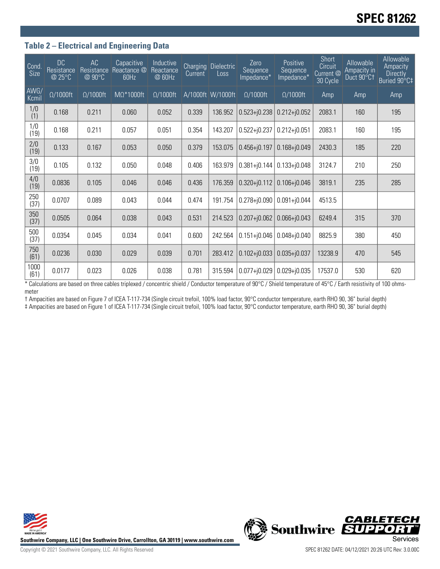## **Table 2 – Electrical and Engineering Data**

| Cond<br><b>Size</b> | DC<br>Resistance<br>@ 25°C | AC<br>Resistance<br>@ 90°C | Capacitive<br>Reactance @<br>60Hz | Inductive<br>Reactance<br>@ 60Hz | <b>Charging</b><br>Current | <b>Dielectric</b><br>Loss | Zero<br>Sequence<br>Impedance* | Positive<br>Sequence<br>Impedance* | <b>Short</b><br>Circuit<br>Current @<br>30 Cycle | Allowable<br>Ampacity in<br>Duct 90°C1 | Allowable<br>Ampacity<br><b>Directly</b><br>Buried 90°C‡ |
|---------------------|----------------------------|----------------------------|-----------------------------------|----------------------------------|----------------------------|---------------------------|--------------------------------|------------------------------------|--------------------------------------------------|----------------------------------------|----------------------------------------------------------|
| AWG/<br>Kcmil       | $\Omega/1000$ ft           | $\Omega/1000$ ft           | $M\Omega^*1000ft$                 | $\Omega/1000$ ft                 |                            | A/1000ft W/1000ft         | $\Omega/1000$ ft               | $\Omega/1000$ ft                   | Amp                                              | Amp                                    | Amp                                                      |
| 1/0<br>(1)          | 0.168                      | 0.211                      | 0.060                             | 0.052                            | 0.339                      | 136.952                   | $0.523 + j0.238$               | $0.212 + j0.052$                   | 2083.1                                           | 160                                    | 195                                                      |
| 1/0<br>(19)         | 0.168                      | 0.211                      | 0.057                             | 0.051                            | 0.354                      | 143.207                   | $0.522 + j0.237$               | $0.212 + j0.051$                   | 2083.1                                           | 160                                    | 195                                                      |
| 2/0<br>(19)         | 0.133                      | 0.167                      | 0.053                             | 0.050                            | 0.379                      | 153.075                   | $0.456 + j0.197$               | $0.168 + j0.049$                   | 2430.3                                           | 185                                    | 220                                                      |
| 3/0<br>(19)         | 0.105                      | 0.132                      | 0.050                             | 0.048                            | 0.406                      | 163.979                   | $0.381 + 0.144$                | $0.133 + 0.048$                    | 3124.7                                           | 210                                    | 250                                                      |
| 4/0<br>(19)         | 0.0836                     | 0.105                      | 0.046                             | 0.046                            | 0.436                      | 176.359                   | $0.320 + j0.112$               | $0.106 + j0.046$                   | 3819.1                                           | 235                                    | 285                                                      |
| 250<br>(37)         | 0.0707                     | 0.089                      | 0.043                             | 0.044                            | 0.474                      | 191.754                   | $0.278 + j0.090$               | $0.091 + j0.044$                   | 4513.5                                           |                                        |                                                          |
| 350<br>(37)         | 0.0505                     | 0.064                      | 0.038                             | 0.043                            | 0.531                      | 214.523                   | $0.207 + j0.062$               | $0.066 + j0.043$                   | 6249.4                                           | 315                                    | 370                                                      |
| 500<br>(37)         | 0.0354                     | 0.045                      | 0.034                             | 0.041                            | 0.600                      | 242.564                   | $0.151 + 0.046$                | $0.048 + j0.040$                   | 8825.9                                           | 380                                    | 450                                                      |
| 750<br>(61)         | 0.0236                     | 0.030                      | 0.029                             | 0.039                            | 0.701                      | 283.412                   | $0.102 + j0.033$               | $0.035 + j0.037$                   | 13238.9                                          | 470                                    | 545                                                      |
| 1000<br>(61)        | 0.0177                     | 0.023                      | 0.026                             | 0.038                            | 0.781                      | 315.594                   | $0.077 + 0.029$                | $0.029 + 0.035$                    | 17537.0                                          | 530                                    | 620                                                      |

\* Calculations are based on three cables triplexed / concentric shield / Conductor temperature of 90°C / Shield temperature of 45°C / Earth resistivity of 100 ohmsmeter

† Ampacities are based on Figure 7 of ICEA T-117-734 (Single circuit trefoil, 100% load factor, 90°C conductor temperature, earth RHO 90, 36" burial depth) ‡ Ampacities are based on Figure 1 of ICEA T-117-734 (Single circuit trefoil, 100% load factor, 90°C conductor temperature, earth RHO 90, 36" burial depth)





**CABLETECH**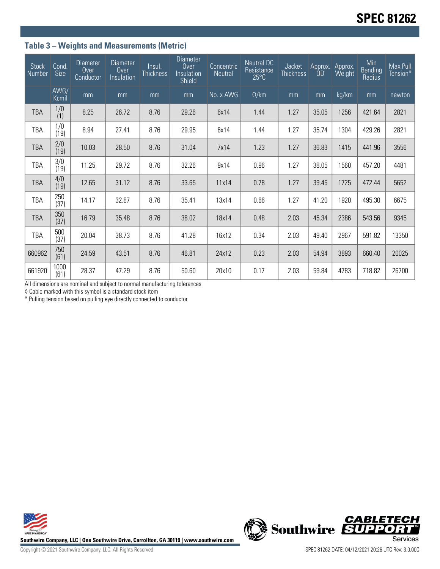## **Table 3 – Weights and Measurements (Metric)**

| <b>Stock</b><br>Number | Cond.<br>Size | <b>Diameter</b><br>Over<br>Conductor | <b>Diameter</b><br>Over<br>Insulation | Insul.<br><b>Thickness</b> | <b>Diameter</b><br>Over<br>Insulation<br><b>Shield</b> | Concentric<br>Neutral | <b>Neutral DC</b><br>Resistance<br>$25^{\circ}$ C | Jacket<br><b>Thickness</b> | Approx.<br>0 <sub>D</sub> | Approx.<br>Weight | Min<br>Bending<br>Radius | Max Pull<br>Tension* |
|------------------------|---------------|--------------------------------------|---------------------------------------|----------------------------|--------------------------------------------------------|-----------------------|---------------------------------------------------|----------------------------|---------------------------|-------------------|--------------------------|----------------------|
|                        | AWG/<br>Kcmil | mm                                   | mm                                    | mm                         | mm                                                     | No. x AWG             | $\Omega$ /km                                      | mm                         | mm                        | kg/km             | mm                       | newton               |
| <b>TBA</b>             | 1/0<br>(1)    | 8.25                                 | 26.72                                 | 8.76                       | 29.26                                                  | 6x14                  | 1.44                                              | 1.27                       | 35.05                     | 1256              | 421.64                   | 2821                 |
| TBA                    | 1/0<br>(19)   | 8.94                                 | 27.41                                 | 8.76                       | 29.95                                                  | 6x14                  | 1.44                                              | 1.27                       | 35.74                     | 1304              | 429.26                   | 2821                 |
| <b>TBA</b>             | 2/0<br>(19)   | 10.03                                | 28.50                                 | 8.76                       | 31.04                                                  | 7x14                  | 1.23                                              | 1.27                       | 36.83                     | 1415              | 441.96                   | 3556                 |
| <b>TBA</b>             | 3/0<br>(19)   | 11.25                                | 29.72                                 | 8.76                       | 32.26                                                  | 9x14                  | 0.96                                              | 1.27                       | 38.05                     | 1560              | 457.20                   | 4481                 |
| <b>TBA</b>             | 4/0<br>(19)   | 12.65                                | 31.12                                 | 8.76                       | 33.65                                                  | 11x14                 | 0.78                                              | 1.27                       | 39.45                     | 1725              | 472.44                   | 5652                 |
| TBA                    | 250<br>(37)   | 14.17                                | 32.87                                 | 8.76                       | 35.41                                                  | 13x14                 | 0.66                                              | 1.27                       | 41.20                     | 1920              | 495.30                   | 6675                 |
| <b>TBA</b>             | 350<br>(37)   | 16.79                                | 35.48                                 | 8.76                       | 38.02                                                  | 18x14                 | 0.48                                              | 2.03                       | 45.34                     | 2386              | 543.56                   | 9345                 |
| TBA                    | 500<br>(37)   | 20.04                                | 38.73                                 | 8.76                       | 41.28                                                  | 16x12                 | 0.34                                              | 2.03                       | 49.40                     | 2967              | 591.82                   | 13350                |
| 660962                 | 750<br>(61)   | 24.59                                | 43.51                                 | 8.76                       | 46.81                                                  | 24x12                 | 0.23                                              | 2.03                       | 54.94                     | 3893              | 660.40                   | 20025                |
| 661920                 | 1000<br>(61)  | 28.37                                | 47.29                                 | 8.76                       | 50.60                                                  | 20x10                 | 0.17                                              | 2.03                       | 59.84                     | 4783              | 718.82                   | 26700                |

All dimensions are nominal and subject to normal manufacturing tolerances

◊ Cable marked with this symbol is a standard stock item

\* Pulling tension based on pulling eye directly connected to conductor